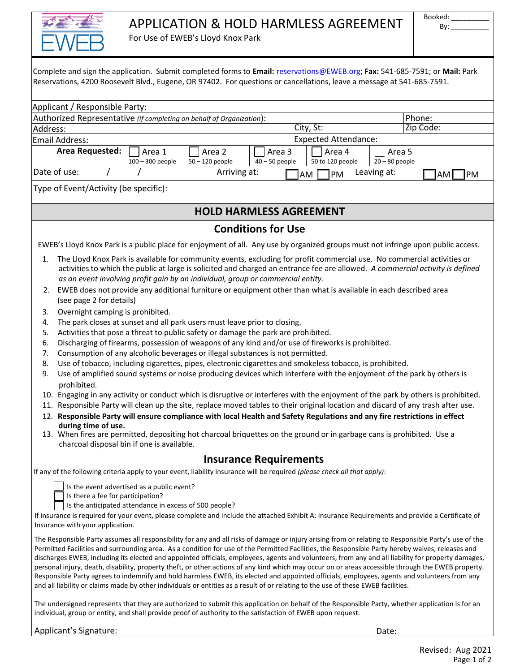

# APPLICATION & HOLD HARMLESS AGREEMENT

For Use of EWEB's Lloyd Knox Park

|          |                        |                                  | Complete and sign the application. Submit completed forms to Email: reservations@EWEB.org; Fax: 541-685-7591; or Mail: Park<br>Reservations, 4200 Roosevelt Blvd., Eugene, OR 97402. For questions or cancellations, leave a message at 541-685-7591.                                                                                                                                                                                                                                                                                                                                                                                                                                                                                                                                                                                                                                                      |                   |              |                                |           |                             |                  |                   |           |    |    |
|----------|------------------------|----------------------------------|------------------------------------------------------------------------------------------------------------------------------------------------------------------------------------------------------------------------------------------------------------------------------------------------------------------------------------------------------------------------------------------------------------------------------------------------------------------------------------------------------------------------------------------------------------------------------------------------------------------------------------------------------------------------------------------------------------------------------------------------------------------------------------------------------------------------------------------------------------------------------------------------------------|-------------------|--------------|--------------------------------|-----------|-----------------------------|------------------|-------------------|-----------|----|----|
|          |                        | Applicant / Responsible Party:   |                                                                                                                                                                                                                                                                                                                                                                                                                                                                                                                                                                                                                                                                                                                                                                                                                                                                                                            |                   |              |                                |           |                             |                  |                   |           |    |    |
|          |                        |                                  | Authorized Representative (if completing on behalf of Organization):                                                                                                                                                                                                                                                                                                                                                                                                                                                                                                                                                                                                                                                                                                                                                                                                                                       |                   |              |                                |           |                             |                  |                   | Phone:    |    |    |
| Address: |                        |                                  |                                                                                                                                                                                                                                                                                                                                                                                                                                                                                                                                                                                                                                                                                                                                                                                                                                                                                                            |                   |              |                                | City, St: |                             |                  |                   | Zip Code: |    |    |
|          | <b>Email Address:</b>  |                                  |                                                                                                                                                                                                                                                                                                                                                                                                                                                                                                                                                                                                                                                                                                                                                                                                                                                                                                            |                   |              |                                |           | <b>Expected Attendance:</b> |                  |                   |           |    |    |
|          |                        | Area Requested:                  | Area 1                                                                                                                                                                                                                                                                                                                                                                                                                                                                                                                                                                                                                                                                                                                                                                                                                                                                                                     | Area 2            |              | Area 3                         |           | Area 4                      |                  | Area <sub>5</sub> |           |    |    |
|          |                        |                                  | 100 - 300 people                                                                                                                                                                                                                                                                                                                                                                                                                                                                                                                                                                                                                                                                                                                                                                                                                                                                                           | $50 - 120$ people |              | $40 - 50$ people               |           | 50 to 120 people            | $20 - 80$ people |                   |           |    |    |
|          | Date of use:           |                                  |                                                                                                                                                                                                                                                                                                                                                                                                                                                                                                                                                                                                                                                                                                                                                                                                                                                                                                            |                   | Arriving at: |                                | AM        | PM                          | Leaving at:      |                   |           | AM | PM |
|          |                        |                                  | Type of Event/Activity (be specific):                                                                                                                                                                                                                                                                                                                                                                                                                                                                                                                                                                                                                                                                                                                                                                                                                                                                      |                   |              |                                |           |                             |                  |                   |           |    |    |
|          |                        |                                  |                                                                                                                                                                                                                                                                                                                                                                                                                                                                                                                                                                                                                                                                                                                                                                                                                                                                                                            |                   |              | <b>HOLD HARMLESS AGREEMENT</b> |           |                             |                  |                   |           |    |    |
|          |                        |                                  |                                                                                                                                                                                                                                                                                                                                                                                                                                                                                                                                                                                                                                                                                                                                                                                                                                                                                                            |                   |              | <b>Conditions for Use</b>      |           |                             |                  |                   |           |    |    |
|          |                        |                                  |                                                                                                                                                                                                                                                                                                                                                                                                                                                                                                                                                                                                                                                                                                                                                                                                                                                                                                            |                   |              |                                |           |                             |                  |                   |           |    |    |
|          |                        |                                  | EWEB's Lloyd Knox Park is a public place for enjoyment of all. Any use by organized groups must not infringe upon public access.                                                                                                                                                                                                                                                                                                                                                                                                                                                                                                                                                                                                                                                                                                                                                                           |                   |              |                                |           |                             |                  |                   |           |    |    |
| 1.       |                        | (see page 2 for details)         | The Lloyd Knox Park is available for community events, excluding for profit commercial use. No commercial activities or<br>activities to which the public at large is solicited and charged an entrance fee are allowed. A commercial activity is defined<br>as an event involving profit gain by an individual, group or commercial entity.<br>2. EWEB does not provide any additional furniture or equipment other than what is available in each described area                                                                                                                                                                                                                                                                                                                                                                                                                                         |                   |              |                                |           |                             |                  |                   |           |    |    |
| 3.       |                        |                                  | Overnight camping is prohibited.                                                                                                                                                                                                                                                                                                                                                                                                                                                                                                                                                                                                                                                                                                                                                                                                                                                                           |                   |              |                                |           |                             |                  |                   |           |    |    |
| 4.       |                        |                                  | The park closes at sunset and all park users must leave prior to closing.                                                                                                                                                                                                                                                                                                                                                                                                                                                                                                                                                                                                                                                                                                                                                                                                                                  |                   |              |                                |           |                             |                  |                   |           |    |    |
| 5.       |                        |                                  | Activities that pose a threat to public safety or damage the park are prohibited.                                                                                                                                                                                                                                                                                                                                                                                                                                                                                                                                                                                                                                                                                                                                                                                                                          |                   |              |                                |           |                             |                  |                   |           |    |    |
| 6.       |                        |                                  | Discharging of firearms, possession of weapons of any kind and/or use of fireworks is prohibited.                                                                                                                                                                                                                                                                                                                                                                                                                                                                                                                                                                                                                                                                                                                                                                                                          |                   |              |                                |           |                             |                  |                   |           |    |    |
| 7.       |                        |                                  | Consumption of any alcoholic beverages or illegal substances is not permitted.                                                                                                                                                                                                                                                                                                                                                                                                                                                                                                                                                                                                                                                                                                                                                                                                                             |                   |              |                                |           |                             |                  |                   |           |    |    |
| 8.       |                        |                                  | Use of tobacco, including cigarettes, pipes, electronic cigarettes and smokeless tobacco, is prohibited.                                                                                                                                                                                                                                                                                                                                                                                                                                                                                                                                                                                                                                                                                                                                                                                                   |                   |              |                                |           |                             |                  |                   |           |    |    |
| 9.       |                        |                                  | Use of amplified sound systems or noise producing devices which interfere with the enjoyment of the park by others is                                                                                                                                                                                                                                                                                                                                                                                                                                                                                                                                                                                                                                                                                                                                                                                      |                   |              |                                |           |                             |                  |                   |           |    |    |
|          | prohibited.            |                                  |                                                                                                                                                                                                                                                                                                                                                                                                                                                                                                                                                                                                                                                                                                                                                                                                                                                                                                            |                   |              |                                |           |                             |                  |                   |           |    |    |
|          |                        |                                  | 10. Engaging in any activity or conduct which is disruptive or interferes with the enjoyment of the park by others is prohibited.                                                                                                                                                                                                                                                                                                                                                                                                                                                                                                                                                                                                                                                                                                                                                                          |                   |              |                                |           |                             |                  |                   |           |    |    |
|          |                        |                                  | 11. Responsible Party will clean up the site, replace moved tables to their original location and discard of any trash after use.                                                                                                                                                                                                                                                                                                                                                                                                                                                                                                                                                                                                                                                                                                                                                                          |                   |              |                                |           |                             |                  |                   |           |    |    |
|          |                        |                                  |                                                                                                                                                                                                                                                                                                                                                                                                                                                                                                                                                                                                                                                                                                                                                                                                                                                                                                            |                   |              |                                |           |                             |                  |                   |           |    |    |
|          |                        | during time of use.              | 12. Responsible Party will ensure compliance with local Health and Safety Regulations and any fire restrictions in effect<br>13. When fires are permitted, depositing hot charcoal briquettes on the ground or in garbage cans is prohibited. Use a<br>charcoal disposal bin if one is available.                                                                                                                                                                                                                                                                                                                                                                                                                                                                                                                                                                                                          |                   |              |                                |           |                             |                  |                   |           |    |    |
|          |                        |                                  |                                                                                                                                                                                                                                                                                                                                                                                                                                                                                                                                                                                                                                                                                                                                                                                                                                                                                                            |                   |              | <b>Insurance Requirements</b>  |           |                             |                  |                   |           |    |    |
|          |                        |                                  | If any of the following criteria apply to your event, liability insurance will be required (please check all that apply):                                                                                                                                                                                                                                                                                                                                                                                                                                                                                                                                                                                                                                                                                                                                                                                  |                   |              |                                |           |                             |                  |                   |           |    |    |
|          |                        |                                  |                                                                                                                                                                                                                                                                                                                                                                                                                                                                                                                                                                                                                                                                                                                                                                                                                                                                                                            |                   |              |                                |           |                             |                  |                   |           |    |    |
|          |                        |                                  | Is the event advertised as a public event?<br>Is there a fee for participation?<br>Is the anticipated attendance in excess of 500 people?                                                                                                                                                                                                                                                                                                                                                                                                                                                                                                                                                                                                                                                                                                                                                                  |                   |              |                                |           |                             |                  |                   |           |    |    |
|          |                        | Insurance with your application. | If insurance is required for your event, please complete and include the attached Exhibit A: Insurance Requirements and provide a Certificate of                                                                                                                                                                                                                                                                                                                                                                                                                                                                                                                                                                                                                                                                                                                                                           |                   |              |                                |           |                             |                  |                   |           |    |    |
|          |                        |                                  | The Responsible Party assumes all responsibility for any and all risks of damage or injury arising from or relating to Responsible Party's use of the<br>Permitted Facilities and surrounding area. As a condition for use of the Permitted Facilities, the Responsible Party hereby waives, releases and<br>discharges EWEB, including its elected and appointed officials, employees, agents and volunteers, from any and all liability for property damages,<br>personal injury, death, disability, property theft, or other actions of any kind which may occur on or areas accessible through the EWEB property.<br>Responsible Party agrees to indemnify and hold harmless EWEB, its elected and appointed officials, employees, agents and volunteers from any<br>and all liability or claims made by other individuals or entities as a result of or relating to the use of these EWEB facilities. |                   |              |                                |           |                             |                  |                   |           |    |    |
|          |                        |                                  | The undersigned represents that they are authorized to submit this application on behalf of the Responsible Party, whether application is for an<br>individual, group or entity, and shall provide proof of authority to the satisfaction of EWEB upon request.                                                                                                                                                                                                                                                                                                                                                                                                                                                                                                                                                                                                                                            |                   |              |                                |           |                             |                  |                   |           |    |    |
|          | Applicant's Signature: |                                  |                                                                                                                                                                                                                                                                                                                                                                                                                                                                                                                                                                                                                                                                                                                                                                                                                                                                                                            |                   |              |                                |           |                             | Date:            |                   |           |    |    |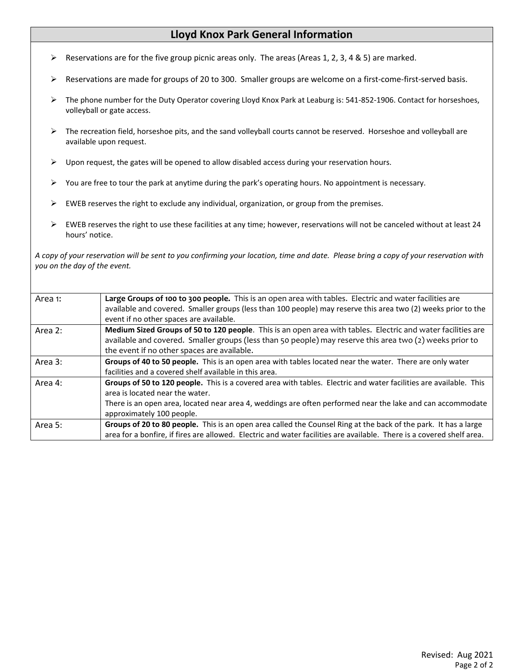# **Lloyd Knox Park General Information**

- Reservations are for the five group picnic areas only. The areas (Areas 1, 2, 3, 4 & 5) are marked.
- Reservations are made for groups of 20 to 300. Smaller groups are welcome on a first-come-first-served basis.
- ▶ The phone number for the Duty Operator covering Lloyd Knox Park at Leaburg is: 541-852-1906. Contact for horseshoes, volleyball or gate access.
- > The recreation field, horseshoe pits, and the sand volleyball courts cannot be reserved. Horseshoe and volleyball are available upon request.
- $\triangleright$  Upon request, the gates will be opened to allow disabled access during your reservation hours.
- $\triangleright$  You are free to tour the park at anytime during the park's operating hours. No appointment is necessary.
- $\triangleright$  EWEB reserves the right to exclude any individual, organization, or group from the premises.
- EWEB reserves the right to use these facilities at any time; however, reservations will not be canceled without at least 24 hours' notice.

*A copy of your reservation will be sent to you confirming your location, time and date. Please bring a copy of your reservation with you on the day of the event.*

| Area 1: | Large Groups of 100 to 300 people. This is an open area with tables. Electric and water facilities are<br>available and covered. Smaller groups (less than 100 people) may reserve this area two (2) weeks prior to the<br>event if no other spaces are available.                              |
|---------|-------------------------------------------------------------------------------------------------------------------------------------------------------------------------------------------------------------------------------------------------------------------------------------------------|
| Area 2: | Medium Sized Groups of 50 to 120 people. This is an open area with tables. Electric and water facilities are<br>available and covered. Smaller groups (less than 50 people) may reserve this area two (2) weeks prior to<br>the event if no other spaces are available.                         |
| Area 3: | Groups of 40 to 50 people. This is an open area with tables located near the water. There are only water<br>facilities and a covered shelf available in this area.                                                                                                                              |
| Area 4: | Groups of 50 to 120 people. This is a covered area with tables. Electric and water facilities are available. This<br>area is located near the water.<br>There is an open area, located near area 4, weddings are often performed near the lake and can accommodate<br>approximately 100 people. |
| Area 5: | Groups of 20 to 80 people. This is an open area called the Counsel Ring at the back of the park. It has a large<br>area for a bonfire, if fires are allowed. Electric and water facilities are available. There is a covered shelf area.                                                        |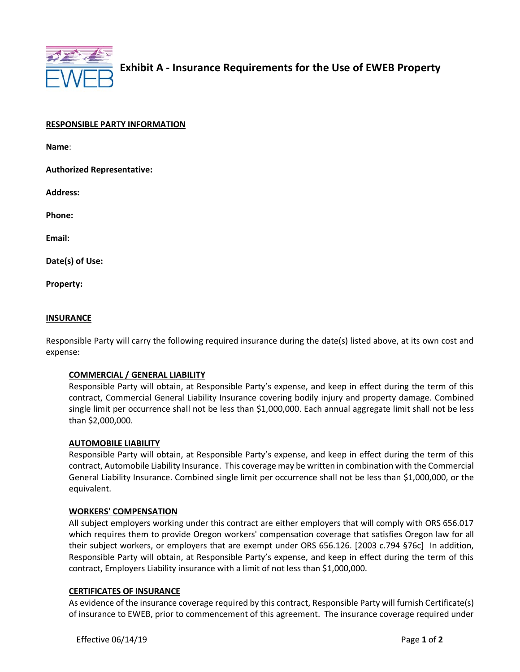

| <b>RESPONSIBLE PARTY INFORMATION</b> |
|--------------------------------------|
|--------------------------------------|

**Name**:

**Authorized Representative:** 

**Address:** 

**Phone:** 

**Email:**

**Date(s) of Use:**

**Property:**

#### **INSURANCE**

Responsible Party will carry the following required insurance during the date(s) listed above, at its own cost and expense:

## **COMMERCIAL / GENERAL LIABILITY**

Responsible Party will obtain, at Responsible Party's expense, and keep in effect during the term of this contract, Commercial General Liability Insurance covering bodily injury and property damage. Combined single limit per occurrence shall not be less than \$1,000,000. Each annual aggregate limit shall not be less than \$2,000,000.

#### **AUTOMOBILE LIABILITY**

Responsible Party will obtain, at Responsible Party's expense, and keep in effect during the term of this contract, Automobile Liability Insurance. This coverage may be written in combination with the Commercial General Liability Insurance. Combined single limit per occurrence shall not be less than \$1,000,000, or the equivalent.

#### **WORKERS' COMPENSATION**

All subject employers working under this contract are either employers that will comply with ORS 656.017 which requires them to provide Oregon workers' compensation coverage that satisfies Oregon law for all their subject workers, or employers that are exempt under ORS 656.126. [2003 c.794 §76c] In addition, Responsible Party will obtain, at Responsible Party's expense, and keep in effect during the term of this contract, Employers Liability insurance with a limit of not less than \$1,000,000.

## **CERTIFICATES OF INSURANCE**

As evidence of the insurance coverage required by this contract, Responsible Party will furnish Certificate(s) of insurance to EWEB, prior to commencement of this agreement. The insurance coverage required under